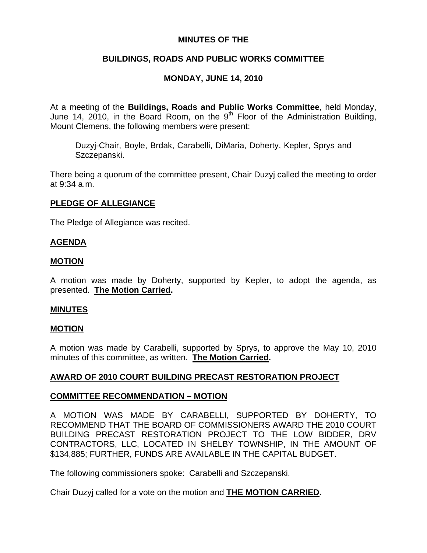## **MINUTES OF THE**

# **BUILDINGS, ROADS AND PUBLIC WORKS COMMITTEE**

# **MONDAY, JUNE 14, 2010**

At a meeting of the **Buildings, Roads and Public Works Committee**, held Monday, June 14, 2010, in the Board Room, on the  $9<sup>th</sup>$  Floor of the Administration Building, Mount Clemens, the following members were present:

Duzyj-Chair, Boyle, Brdak, Carabelli, DiMaria, Doherty, Kepler, Sprys and Szczepanski.

There being a quorum of the committee present, Chair Duzyj called the meeting to order at 9:34 a.m.

## **PLEDGE OF ALLEGIANCE**

The Pledge of Allegiance was recited.

## **AGENDA**

## **MOTION**

A motion was made by Doherty, supported by Kepler, to adopt the agenda, as presented. **The Motion Carried.** 

## **MINUTES**

## **MOTION**

A motion was made by Carabelli, supported by Sprys, to approve the May 10, 2010 minutes of this committee, as written. **The Motion Carried.** 

## **AWARD OF 2010 COURT BUILDING PRECAST RESTORATION PROJECT**

## **COMMITTEE RECOMMENDATION – MOTION**

A MOTION WAS MADE BY CARABELLI, SUPPORTED BY DOHERTY, TO RECOMMEND THAT THE BOARD OF COMMISSIONERS AWARD THE 2010 COURT BUILDING PRECAST RESTORATION PROJECT TO THE LOW BIDDER, DRV CONTRACTORS, LLC, LOCATED IN SHELBY TOWNSHIP, IN THE AMOUNT OF \$134,885; FURTHER, FUNDS ARE AVAILABLE IN THE CAPITAL BUDGET.

The following commissioners spoke: Carabelli and Szczepanski.

Chair Duzyj called for a vote on the motion and **THE MOTION CARRIED.**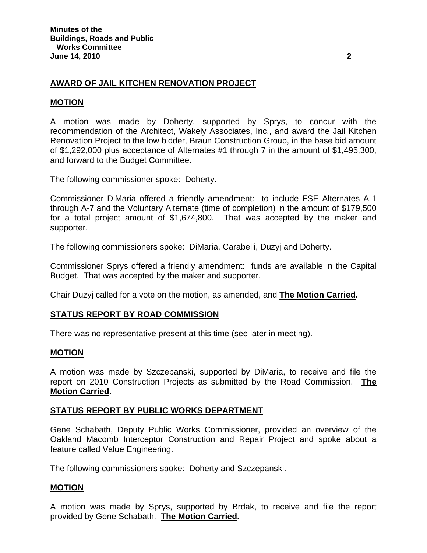## **AWARD OF JAIL KITCHEN RENOVATION PROJECT**

## **MOTION**

A motion was made by Doherty, supported by Sprys, to concur with the recommendation of the Architect, Wakely Associates, Inc., and award the Jail Kitchen Renovation Project to the low bidder, Braun Construction Group, in the base bid amount of \$1,292,000 plus acceptance of Alternates #1 through 7 in the amount of \$1,495,300, and forward to the Budget Committee.

The following commissioner spoke: Doherty.

Commissioner DiMaria offered a friendly amendment: to include FSE Alternates A-1 through A-7 and the Voluntary Alternate (time of completion) in the amount of \$179,500 for a total project amount of \$1,674,800. That was accepted by the maker and supporter.

The following commissioners spoke: DiMaria, Carabelli, Duzyj and Doherty.

Commissioner Sprys offered a friendly amendment: funds are available in the Capital Budget. That was accepted by the maker and supporter.

Chair Duzyj called for a vote on the motion, as amended, and **The Motion Carried.** 

## **STATUS REPORT BY ROAD COMMISSION**

There was no representative present at this time (see later in meeting).

#### **MOTION**

A motion was made by Szczepanski, supported by DiMaria, to receive and file the report on 2010 Construction Projects as submitted by the Road Commission. **The Motion Carried.** 

## **STATUS REPORT BY PUBLIC WORKS DEPARTMENT**

Gene Schabath, Deputy Public Works Commissioner, provided an overview of the Oakland Macomb Interceptor Construction and Repair Project and spoke about a feature called Value Engineering.

The following commissioners spoke: Doherty and Szczepanski.

#### **MOTION**

A motion was made by Sprys, supported by Brdak, to receive and file the report provided by Gene Schabath. **The Motion Carried.**